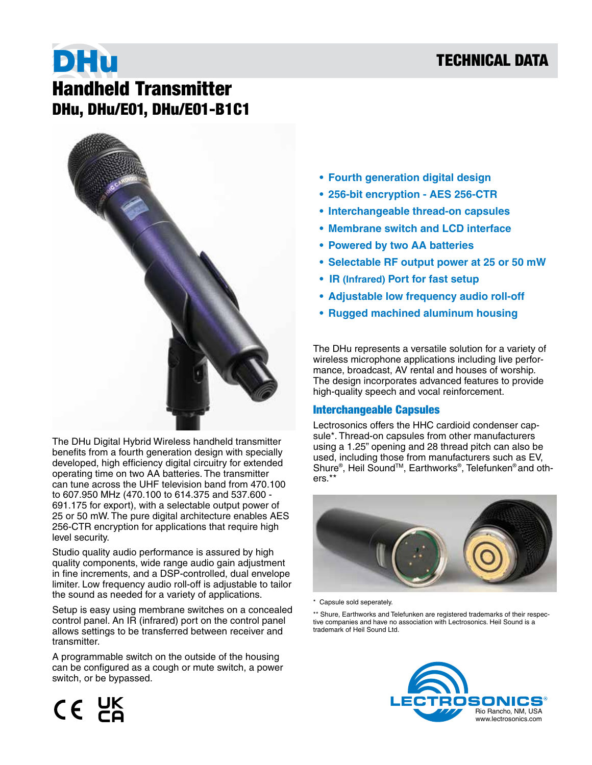## TECHNICAL DATA

# DHu Handheld Transmitter DHu, DHu/E01, DHu/E01-B1C1



The DHu Digital Hybrid Wireless handheld transmitter benefits from a fourth generation design with specially developed, high efficiency digital circuitry for extended operating time on two AA batteries. The transmitter can tune across the UHF television band from 470.100 to 607.950 MHz (470.100 to 614.375 and 537.600 - 691.175 for export), with a selectable output power of 25 or 50 mW. The pure digital architecture enables AES 256-CTR encryption for applications that require high level security.

Studio quality audio performance is assured by high quality components, wide range audio gain adjustment in fine increments, and a DSP-controlled, dual envelope limiter. Low frequency audio roll-off is adjustable to tailor the sound as needed for a variety of applications.

Setup is easy using membrane switches on a concealed control panel. An IR (infrared) port on the control panel allows settings to be transferred between receiver and transmitter.

A programmable switch on the outside of the housing can be configured as a cough or mute switch, a power switch, or be bypassed.

- **• Fourth generation digital design**
- **• 256-bit encryption AES 256-CTR**
- **• Interchangeable thread-on capsules**
- **• Membrane switch and LCD interface**
- **• Powered by two AA batteries**
- **• Selectable RF output power at 25 or 50 mW**
- **IR (Infrared) Port for fast setup**
- **• Adjustable low frequency audio roll-off**
- **• Rugged machined aluminum housing**

The DHu represents a versatile solution for a variety of wireless microphone applications including live performance, broadcast, AV rental and houses of worship. The design incorporates advanced features to provide high-quality speech and vocal reinforcement.

#### Interchangeable Capsules

Lectrosonics offers the HHC cardioid condenser capsule\*. Thread-on capsules from other manufacturers using a 1.25" opening and 28 thread pitch can also be used, including those from manufacturers such as EV, Shure® , Heil SoundTM, Earthworks® , Telefunken® and others.\*\*



\* Capsule sold seperately.

\*\* Shure, Earthworks and Telefunken are registered trademarks of their respective companies and have no association with Lectrosonics. Heil Sound is a trademark of Heil Sound Ltd.



 $CE$   $DE$